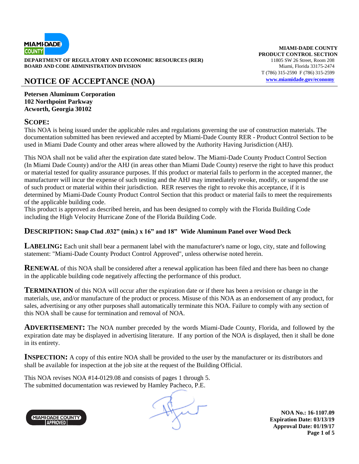

**DEPARTMENT OF REGULATORY AND ECONOMIC RESOURCES (RER)** 11805 SW 26 Street, Room 208<br>**BOARD AND CODE ADMINISTRATION DIVISION** 11805 SW 26 Miami, Florida 33175-2474 **BOARD AND CODE ADMINISTRATION DIVISION** 

## **NOTICE OF ACCEPTANCE (NOA) [www.miamidade.gov/economy](http://www.miamidade.gov/economy)**

**MIAMI-DADE COUNTY PRODUCT CONTROL SECTION** T (786) 315-2590 F (786) 315-2599

**Petersen Aluminum Corporation 102 Northpoint Parkway Acworth, Georgia 30102**

#### **SCOPE:**

This NOA is being issued under the applicable rules and regulations governing the use of construction materials. The documentation submitted has been reviewed and accepted by Miami-Dade County RER - Product Control Section to be used in Miami Dade County and other areas where allowed by the Authority Having Jurisdiction (AHJ).

This NOA shall not be valid after the expiration date stated below. The Miami-Dade County Product Control Section (In Miami Dade County) and/or the AHJ (in areas other than Miami Dade County) reserve the right to have this product or material tested for quality assurance purposes. If this product or material fails to perform in the accepted manner, the manufacturer will incur the expense of such testing and the AHJ may immediately revoke, modify, or suspend the use of such product or material within their jurisdiction. RER reserves the right to revoke this acceptance, if it is determined by Miami-Dade County Product Control Section that this product or material fails to meet the requirements of the applicable building code.

This product is approved as described herein, and has been designed to comply with the Florida Building Code including the High Velocity Hurricane Zone of the Florida Building Code.

#### **DESCRIPTION: Snap Clad .032" (min.) x 16" and 18" Wide Aluminum Panel over Wood Deck**

LABELING: Each unit shall bear a permanent label with the manufacturer's name or logo, city, state and following statement: "Miami-Dade County Product Control Approved", unless otherwise noted herein.

**RENEWAL** of this NOA shall be considered after a renewal application has been filed and there has been no change in the applicable building code negatively affecting the performance of this product.

**TERMINATION** of this NOA will occur after the expiration date or if there has been a revision or change in the materials, use, and/or manufacture of the product or process. Misuse of this NOA as an endorsement of any product, for sales, advertising or any other purposes shall automatically terminate this NOA. Failure to comply with any section of this NOA shall be cause for termination and removal of NOA.

**ADVERTISEMENT:** The NOA number preceded by the words Miami-Dade County, Florida, and followed by the expiration date may be displayed in advertising literature. If any portion of the NOA is displayed, then it shall be done in its entirety.

**INSPECTION:** A copy of this entire NOA shall be provided to the user by the manufacturer or its distributors and shall be available for inspection at the job site at the request of the Building Official.

This NOA revises NOA #14-0129.08 and consists of pages 1 through 5. The submitted documentation was reviewed by Hamley Pacheco, P.E.



**NOA No.: 16-1107.09 Expiration Date: 03/13/19 Approval Date: 01/19/17 Page 1 of 5**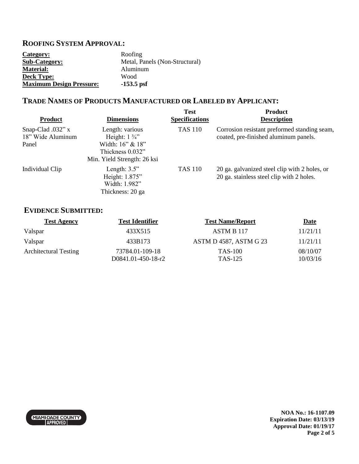## **ROOFING SYSTEM APPROVAL:**

| Category:                       | Roofing                        |
|---------------------------------|--------------------------------|
| <b>Sub-Category:</b>            | Metal, Panels (Non-Structural) |
| <b>Material:</b>                | Aluminum                       |
| <b>Deck Type:</b>               | Wood                           |
| <b>Maximum Design Pressure:</b> | $-153.5$ psf                   |

# **TRADE NAMES OF PRODUCTS MANUFACTURED OR LABELED BY APPLICANT:**

| <b>Product</b>                            | <b>Dimensions</b>                                                      | <b>Test</b><br><b>Specifications</b> | <b>Product</b><br><b>Description</b>                                                       |
|-------------------------------------------|------------------------------------------------------------------------|--------------------------------------|--------------------------------------------------------------------------------------------|
| Snap-Clad $.032$ " x<br>18" Wide Aluminum | Length: various<br>Height: $1\frac{3}{4}$ "                            | <b>TAS 110</b>                       | Corrosion resistant preformed standing seam,<br>coated, pre-finished aluminum panels.      |
| Panel                                     | Width: 16" & 18"<br>Thickness 0.032"<br>Min. Yield Strength: 26 ksi    |                                      |                                                                                            |
| Individual Clip                           | Length: $3.5$ "<br>Height: 1.875"<br>Width: 1.982"<br>Thickness: 20 ga | <b>TAS 110</b>                       | 20 ga. galvanized steel clip with 2 holes, or<br>20 ga. stainless steel clip with 2 holes. |

#### **EVIDENCE SUBMITTED:**

| <b>Test Agency</b>           | <b>Test Identifier</b>                | <b>Test Name/Report</b>       | <u>Date</u>          |
|------------------------------|---------------------------------------|-------------------------------|----------------------|
| Valspar                      | 433X515                               | ASTM B 117                    | 11/21/11             |
| Valspar                      | 433B173                               | <b>ASTM D 4587, ASTM G 23</b> | 11/21/11             |
| <b>Architectural Testing</b> | 73784.01-109-18<br>D0841.01-450-18-r2 | <b>TAS-100</b><br>TAS-125     | 08/10/07<br>10/03/16 |

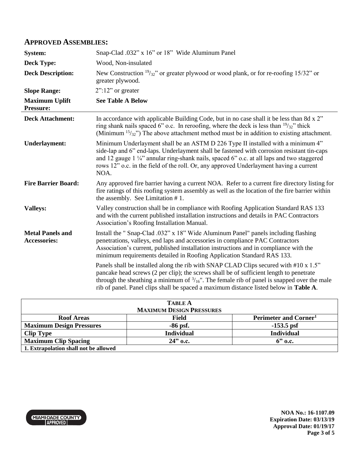### **APPROVED ASSEMBLIES:**

| <b>System:</b>                                 | Snap-Clad .032" x 16" or 18" Wide Aluminum Panel                                                                                                                                                                                                                                                                                                                                      |
|------------------------------------------------|---------------------------------------------------------------------------------------------------------------------------------------------------------------------------------------------------------------------------------------------------------------------------------------------------------------------------------------------------------------------------------------|
| <b>Deck Type:</b>                              | Wood, Non-insulated                                                                                                                                                                                                                                                                                                                                                                   |
| <b>Deck Description:</b>                       | New Construction $\frac{19}{32}$ " or greater plywood or wood plank, or for re-roofing 15/32" or<br>greater plywood.                                                                                                                                                                                                                                                                  |
| <b>Slope Range:</b>                            | $2"$ :12" or greater                                                                                                                                                                                                                                                                                                                                                                  |
| <b>Maximum Uplift</b><br>Pressure:             | <b>See Table A Below</b>                                                                                                                                                                                                                                                                                                                                                              |
| <b>Deck Attachment:</b>                        | In accordance with applicable Building Code, but in no case shall it be less than 8d x 2"<br>ring shank nails spaced 6" o.c. In reroofing, where the deck is less than $\frac{19}{32}$ " thick<br>(Minimum $15/32$ ) The above attachment method must be in addition to existing attachment.                                                                                          |
| <b>Underlayment:</b>                           | Minimum Underlayment shall be an ASTM D 226 Type II installed with a minimum 4"<br>side-lap and 6" end-laps. Underlayment shall be fastened with corrosion resistant tin-caps<br>and 12 gauge $1\frac{1}{4}$ annular ring-shank nails, spaced 6" o.c. at all laps and two staggered<br>rows 12" o.c. in the field of the roll. Or, any approved Underlayment having a current<br>NOA. |
| <b>Fire Barrier Board:</b>                     | Any approved fire barrier having a current NOA. Refer to a current fire directory listing for<br>fire ratings of this roofing system assembly as well as the location of the fire barrier within<br>the assembly. See Limitation #1.                                                                                                                                                  |
| <b>Valleys:</b>                                | Valley construction shall be in compliance with Roofing Application Standard RAS 133<br>and with the current published installation instructions and details in PAC Contractors<br>Association's Roofing Installation Manual.                                                                                                                                                         |
| <b>Metal Panels and</b><br><b>Accessories:</b> | Install the "Snap-Clad .032" x 18" Wide Aluminum Panel" panels including flashing<br>penetrations, valleys, end laps and accessories in compliance PAC Contractors<br>Association's current, published installation instructions and in compliance with the<br>minimum requirements detailed in Roofing Application Standard RAS 133.                                                 |
|                                                | Panels shall be installed along the rib with SNAP CLAD Clips secured with #10 x 1.5"<br>pancake head screws (2 per clip); the screws shall be of sufficient length to penetrate<br>through the sheathing a minimum of $\frac{3}{16}$ ". The female rib of panel is snapped over the male<br>rib of panel. Panel clips shall be spaced a maximum distance listed below in Table A.     |

| <b>TABLE A</b>                        |                   |                                   |  |
|---------------------------------------|-------------------|-----------------------------------|--|
| <b>MAXIMUM DESIGN PRESSURES</b>       |                   |                                   |  |
| <b>Roof Areas</b>                     | Field             | Perimeter and Corner <sup>1</sup> |  |
| <b>Maximum Design Pressures</b>       | $-86$ psf.        | $-153.5$ psf                      |  |
| <b>Clip Type</b>                      | <b>Individual</b> | <b>Individual</b>                 |  |
| <b>Maximum Clip Spacing</b>           | $24"$ o.c.        | $6$ " o.c.                        |  |
| 1. Extrapolation shall not be allowed |                   |                                   |  |



**NOA No.: 16-1107.09 Expiration Date: 03/13/19 Approval Date: 01/19/17 Page 3 of 5**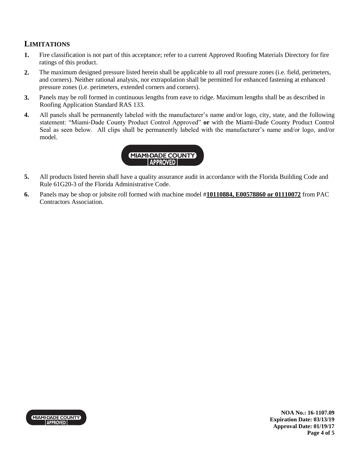## **LIMITATIONS**

- **1.** Fire classification is not part of this acceptance; refer to a current Approved Roofing Materials Directory for fire ratings of this product.
- **2.** The maximum designed pressure listed herein shall be applicable to all roof pressure zones (i.e. field, perimeters, and corners). Neither rational analysis, nor extrapolation shall be permitted for enhanced fastening at enhanced pressure zones (i.e. perimeters, extended corners and corners).
- **3.** Panels may be roll formed in continuous lengths from eave to ridge. Maximum lengths shall be as described in Roofing Application Standard RAS 133.
- **4.** All panels shall be permanently labeled with the manufacturer's name and/or logo, city, state, and the following statement: "Miami-Dade County Product Control Approved" **or** with the Miami-Dade County Product Control Seal as seen below. All clips shall be permanently labeled with the manufacturer's name and/or logo, and/or model.



- **5.** All products listed herein shall have a quality assurance audit in accordance with the Florida Building Code and Rule 61G20-3 of the Florida Administrative Code.
- **6.** Panels may be shop or jobsite roll formed with machine model #**10110884, E00578860 or 01110072** from PAC Contractors Association.